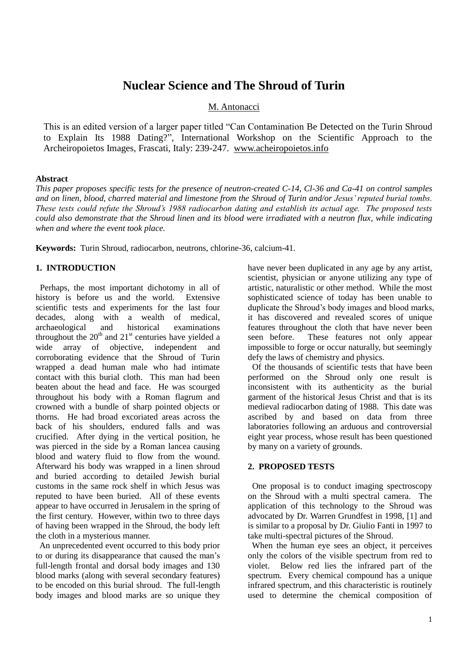# **Nuclear Science and The Shroud of Turin**

# M. Antonacci

 This is an edited version of a larger paper titled "Can Contamination Be Detected on the Turin Shroud to Explain Its 1988 Dating?", International Workshop on the Scientific Approach to the Archeiropoietos Images, Frascati, Italy: 239-247. [www.acheiropoietos.info](http://www.acheiropoietos.info/)

# **Abstract**

*This paper proposes specific tests for the presence of neutron-created C-14, Cl-36 and Ca-41 on control samples and on linen, blood, charred material and limestone from the Shroud of Turin and/or Jesus' reputed burial tombs. These tests could refute the Shroud's 1988 radiocarbon dating and establish its actual age. The proposed tests could also demonstrate that the Shroud linen and its blood were irradiated with a neutron flux, while indicating when and where the event took place.*

**Keywords:** Turin Shroud, radiocarbon, neutrons, chlorine-36, calcium-41.

# **1. INTRODUCTION**

 Perhaps, the most important dichotomy in all of history is before us and the world. Extensive scientific tests and experiments for the last four decades, along with a wealth of medical, archaeological and historical examinations throughout the  $20<sup>th</sup>$  and  $21<sup>st</sup>$  centuries have yielded a wide array of objective, independent and corroborating evidence that the Shroud of Turin wrapped a dead human male who had intimate contact with this burial cloth. This man had been beaten about the head and face. He was scourged throughout his body with a Roman flagrum and crowned with a bundle of sharp pointed objects or thorns. He had broad excoriated areas across the back of his shoulders, endured falls and was crucified. After dying in the vertical position, he was pierced in the side by a Roman lancea causing blood and watery fluid to flow from the wound. Afterward his body was wrapped in a linen shroud and buried according to detailed Jewish burial customs in the same rock shelf in which Jesus was reputed to have been buried. All of these events appear to have occurred in Jerusalem in the spring of the first century. However, within two to three days of having been wrapped in the Shroud, the body left the cloth in a mysterious manner.

 An unprecedented event occurred to this body prior to or during its disappearance that caused the man's full-length frontal and dorsal body images and 130 blood marks (along with several secondary features) to be encoded on this burial shroud. The full-length body images and blood marks are so unique they have never been duplicated in any age by any artist, scientist, physician or anyone utilizing any type of artistic, naturalistic or other method. While the most sophisticated science of today has been unable to duplicate the Shroud's body images and blood marks, it has discovered and revealed scores of unique features throughout the cloth that have never been seen before. These features not only appear impossible to forge or occur naturally, but seemingly defy the laws of chemistry and physics.

 Of the thousands of scientific tests that have been performed on the Shroud only one result is inconsistent with its authenticity as the burial garment of the historical Jesus Christ and that is its medieval radiocarbon dating of 1988. This date was ascribed by and based on data from three laboratories following an arduous and controversial eight year process, whose result has been questioned by many on a variety of grounds.

### **2. PROPOSED TESTS**

 One proposal is to conduct imaging spectroscopy on the Shroud with a multi spectral camera. The application of this technology to the Shroud was advocated by Dr. Warren Grundfest in 1998, [1] and is similar to a proposal by Dr. Giulio Fanti in 1997 to take multi-spectral pictures of the Shroud.

 When the human eye sees an object, it perceives only the colors of the visible spectrum from red to violet. Below red lies the infrared part of the spectrum. Every chemical compound has a unique infrared spectrum, and this characteristic is routinely used to determine the chemical composition of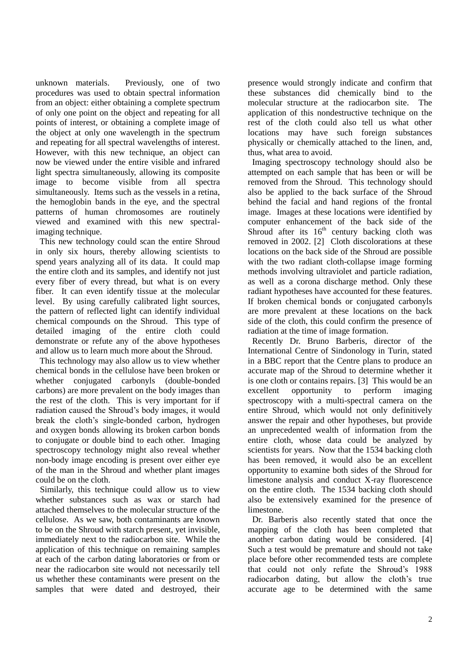unknown materials. Previously, one of two procedures was used to obtain spectral information from an object: either obtaining a complete spectrum of only one point on the object and repeating for all points of interest, or obtaining a complete image of the object at only one wavelength in the spectrum and repeating for all spectral wavelengths of interest. However, with this new technique, an object can now be viewed under the entire visible and infrared light spectra simultaneously, allowing its composite image to become visible from all spectra simultaneously. Items such as the vessels in a retina, the hemoglobin bands in the eye, and the spectral patterns of human chromosomes are routinely viewed and examined with this new spectralimaging technique.

 This new technology could scan the entire Shroud in only six hours, thereby allowing scientists to spend years analyzing all of its data. It could map the entire cloth and its samples, and identify not just every fiber of every thread, but what is on every fiber. It can even identify tissue at the molecular level. By using carefully calibrated light sources, the pattern of reflected light can identify individual chemical compounds on the Shroud. This type of detailed imaging of the entire cloth could demonstrate or refute any of the above hypotheses and allow us to learn much more about the Shroud.

 This technology may also allow us to view whether chemical bonds in the cellulose have been broken or whether conjugated carbonyls (double-bonded carbons) are more prevalent on the body images than the rest of the cloth. This is very important for if radiation caused the Shroud's body images, it would break the cloth's single-bonded carbon, hydrogen and oxygen bonds allowing its broken carbon bonds to conjugate or double bind to each other. Imaging spectroscopy technology might also reveal whether non-body image encoding is present over either eye of the man in the Shroud and whether plant images could be on the cloth.

 Similarly, this technique could allow us to view whether substances such as wax or starch had attached themselves to the molecular structure of the cellulose. As we saw, both contaminants are known to be on the Shroud with starch present, yet invisible, immediately next to the radiocarbon site. While the application of this technique on remaining samples at each of the carbon dating laboratories or from or near the radiocarbon site would not necessarily tell us whether these contaminants were present on the samples that were dated and destroyed, their presence would strongly indicate and confirm that these substances did chemically bind to the molecular structure at the radiocarbon site. The application of this nondestructive technique on the rest of the cloth could also tell us what other locations may have such foreign substances physically or chemically attached to the linen, and, thus, what area to avoid.

 Imaging spectroscopy technology should also be attempted on each sample that has been or will be removed from the Shroud. This technology should also be applied to the back surface of the Shroud behind the facial and hand regions of the frontal image. Images at these locations were identified by computer enhancement of the back side of the Shroud after its  $16<sup>th</sup>$  century backing cloth was removed in 2002. [2] Cloth discolorations at these locations on the back side of the Shroud are possible with the two radiant cloth-collapse image forming methods involving ultraviolet and particle radiation, as well as a corona discharge method. Only these radiant hypotheses have accounted for these features. If broken chemical bonds or conjugated carbonyls are more prevalent at these locations on the back side of the cloth, this could confirm the presence of radiation at the time of image formation.

 Recently Dr. Bruno Barberis, director of the International Centre of Sindonology in Turin, stated in a BBC report that the Centre plans to produce an accurate map of the Shroud to determine whether it is one cloth or contains repairs. [3] This would be an excellent opportunity to perform imaging spectroscopy with a multi-spectral camera on the entire Shroud, which would not only definitively answer the repair and other hypotheses, but provide an unprecedented wealth of information from the entire cloth, whose data could be analyzed by scientists for years. Now that the 1534 backing cloth has been removed, it would also be an excellent opportunity to examine both sides of the Shroud for limestone analysis and conduct X-ray fluorescence on the entire cloth. The 1534 backing cloth should also be extensively examined for the presence of limestone.

 Dr. Barberis also recently stated that once the mapping of the cloth has been completed that another carbon dating would be considered. [4] Such a test would be premature and should not take place before other recommended tests are complete that could not only refute the Shroud's 1988 radiocarbon dating, but allow the cloth's true accurate age to be determined with the same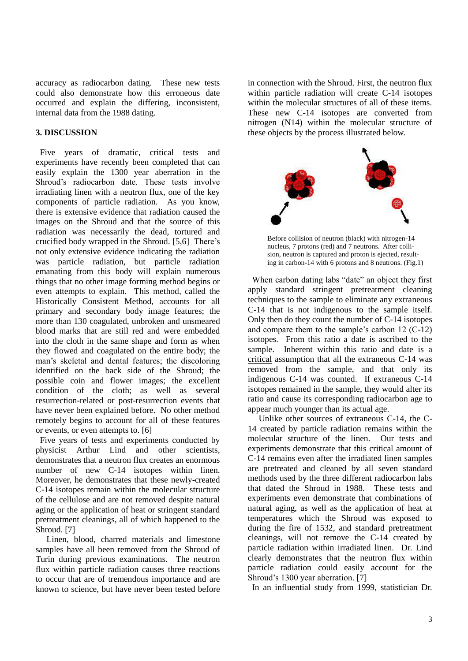accuracy as radiocarbon dating. These new tests could also demonstrate how this erroneous date occurred and explain the differing, inconsistent, internal data from the 1988 dating.

### **3. DISCUSSION**

 Five years of dramatic, critical tests and experiments have recently been completed that can easily explain the 1300 year aberration in the Shroud's radiocarbon date. These tests involve irradiating linen with a neutron flux, one of the key components of particle radiation. As you know, there is extensive evidence that radiation caused the images on the Shroud and that the source of this radiation was necessarily the dead, tortured and crucified body wrapped in the Shroud. [5,6] There's not only extensive evidence indicating the radiation was particle radiation, but particle radiation emanating from this body will explain numerous things that no other image forming method begins or even attempts to explain. This method, called the Historically Consistent Method, accounts for all primary and secondary body image features; the more than 130 coagulated, unbroken and unsmeared blood marks that are still red and were embedded into the cloth in the same shape and form as when they flowed and coagulated on the entire body; the man's skeletal and dental features; the discoloring identified on the back side of the Shroud; the possible coin and flower images; the excellent condition of the cloth; as well as several resurrection-related or post-resurrection events that have never been explained before. No other method remotely begins to account for all of these features or events, or even attempts to. [6]

 Five years of tests and experiments conducted by physicist Arthur Lind and other scientists, demonstrates that a neutron flux creates an enormous number of new C-14 isotopes within linen. Moreover, he demonstrates that these newly-created C-14 isotopes remain within the molecular structure of the cellulose and are not removed despite natural aging or the application of heat or stringent standard pretreatment cleanings, all of which happened to the Shroud. [7]

 Linen, blood, charred materials and limestone samples have all been removed from the Shroud of Turin during previous examinations. The neutron flux within particle radiation causes three reactions to occur that are of tremendous importance and are known to science, but have never been tested before

in connection with the Shroud. First, the neutron flux within particle radiation will create C-14 isotopes within the molecular structures of all of these items. These new C-14 isotopes are converted from nitrogen (N14) within the molecular structure of these objects by the process illustrated below.



 Before collision of neutron (black) with nitrogen-14 nucleus, 7 protons (red) and 7 neutrons. After colli sion, neutron is captured and proton is ejected, result ing in carbon-14 with 6 protons and 8 neutrons. (Fig.1)

 When carbon dating labs "date" an object they first apply standard stringent pretreatment cleaning techniques to the sample to eliminate any extraneous C-14 that is not indigenous to the sample itself. Only then do they count the number of C-14 isotopes and compare them to the sample's carbon 12 (C-12) isotopes. From this ratio a date is ascribed to the sample. Inherent within this ratio and date is a critical assumption that all the extraneous C-14 was removed from the sample, and that only its indigenous C-14 was counted. If extraneous C-14 isotopes remained in the sample, they would alter its ratio and cause its corresponding radiocarbon age to appear much younger than its actual age.

 Unlike other sources of extraneous C-14, the C-14 created by particle radiation remains within the molecular structure of the linen. Our tests and experiments demonstrate that this critical amount of C-14 remains even after the irradiated linen samples are pretreated and cleaned by all seven standard methods used by the three different radiocarbon labs that dated the Shroud in 1988. These tests and experiments even demonstrate that combinations of natural aging, as well as the application of heat at temperatures which the Shroud was exposed to during the fire of 1532, and standard pretreatment cleanings, will not remove the C-14 created by particle radiation within irradiated linen. Dr. Lind clearly demonstrates that the neutron flux within particle radiation could easily account for the Shroud's 1300 year aberration. [7]

In an influential study from 1999, statistician Dr.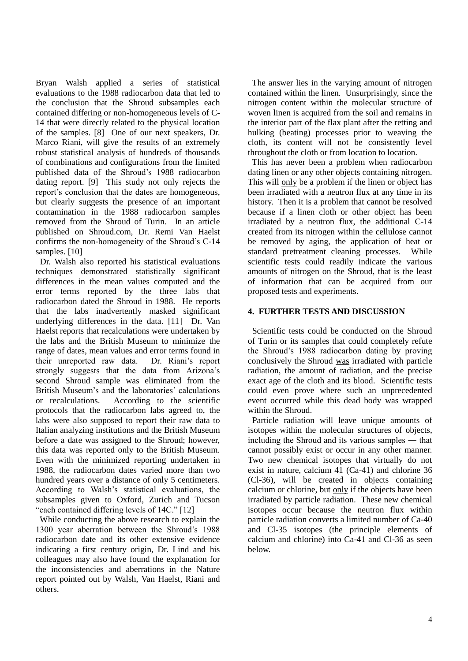Bryan Walsh applied a series of statistical evaluations to the 1988 radiocarbon data that led to the conclusion that the Shroud subsamples each contained differing or non-homogeneous levels of C-14 that were directly related to the physical location of the samples. [8] One of our next speakers, Dr. Marco Riani, will give the results of an extremely robust statistical analysis of hundreds of thousands of combinations and configurations from the limited published data of the Shroud's 1988 radiocarbon dating report. [9] This study not only rejects the report's conclusion that the dates are homogeneous, but clearly suggests the presence of an important contamination in the 1988 radiocarbon samples removed from the Shroud of Turin. In an article published on Shroud.com, Dr. Remi Van Haelst confirms the non-homogeneity of the Shroud's C-14 samples. [10]

 Dr. Walsh also reported his statistical evaluations techniques demonstrated statistically significant differences in the mean values computed and the error terms reported by the three labs that radiocarbon dated the Shroud in 1988. He reports that the labs inadvertently masked significant underlying differences in the data. [11] Dr. Van Haelst reports that recalculations were undertaken by the labs and the British Museum to minimize the range of dates, mean values and error terms found in their unreported raw data. Dr. Riani's report strongly suggests that the data from Arizona's second Shroud sample was eliminated from the British Museum's and the laboratories' calculations or recalculations. According to the scientific protocols that the radiocarbon labs agreed to, the labs were also supposed to report their raw data to Italian analyzing institutions and the British Museum before a date was assigned to the Shroud; however, this data was reported only to the British Museum. Even with the minimized reporting undertaken in 1988, the radiocarbon dates varied more than two hundred years over a distance of only 5 centimeters. According to Walsh's statistical evaluations, the subsamples given to Oxford, Zurich and Tucson "each contained differing levels of 14C." [12]

 While conducting the above research to explain the 1300 year aberration between the Shroud's 1988 radiocarbon date and its other extensive evidence indicating a first century origin, Dr. Lind and his colleagues may also have found the explanation for the inconsistencies and aberrations in the Nature report pointed out by Walsh, Van Haelst, Riani and others.

 The answer lies in the varying amount of nitrogen contained within the linen. Unsurprisingly, since the nitrogen content within the molecular structure of woven linen is acquired from the soil and remains in the interior part of the flax plant after the retting and hulking (beating) processes prior to weaving the cloth, its content will not be consistently level throughout the cloth or from location to location.

 This has never been a problem when radiocarbon dating linen or any other objects containing nitrogen. This will only be a problem if the linen or object has been irradiated with a neutron flux at any time in its history. Then it is a problem that cannot be resolved because if a linen cloth or other object has been irradiated by a neutron flux, the additional C-14 created from its nitrogen within the cellulose cannot be removed by aging, the application of heat or standard pretreatment cleaning processes. While scientific tests could readily indicate the various amounts of nitrogen on the Shroud, that is the least of information that can be acquired from our proposed tests and experiments.

# **4. FURTHER TESTS AND DISCUSSION**

 Scientific tests could be conducted on the Shroud of Turin or its samples that could completely refute the Shroud's 1988 radiocarbon dating by proving conclusively the Shroud was irradiated with particle radiation, the amount of radiation, and the precise exact age of the cloth and its blood. Scientific tests could even prove where such an unprecedented event occurred while this dead body was wrapped within the Shroud.

 Particle radiation will leave unique amounts of isotopes within the molecular structures of objects, including the Shroud and its various samples ― that cannot possibly exist or occur in any other manner. Two new chemical isotopes that virtually do not exist in nature, calcium 41 (Ca-41) and chlorine 36 (Cl-36), will be created in objects containing calcium or chlorine, but only if the objects have been irradiated by particle radiation. These new chemical isotopes occur because the neutron flux within particle radiation converts a limited number of Ca-40 and Cl-35 isotopes (the principle elements of calcium and chlorine) into Ca-41 and Cl-36 as seen below.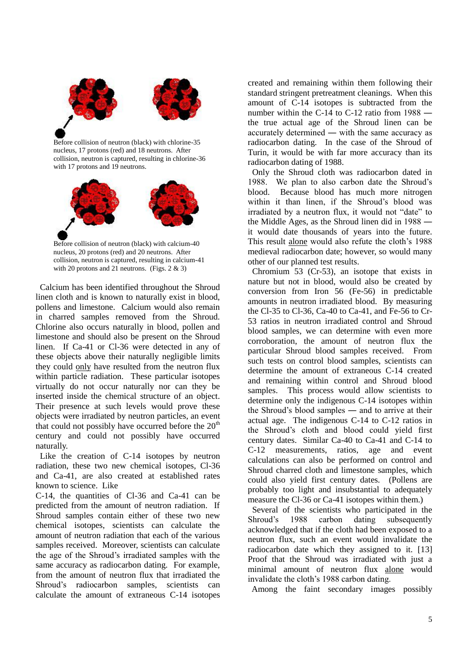

 Before collision of neutron (black) with chlorine-35 nucleus, 17 protons (red) and 18 neutrons. After collision, neutron is captured, resulting in chlorine-36 with 17 protons and 19 neutrons.



 Before collision of neutron (black) with calcium-40 nucleus, 20 protons (red) and 20 neutrons. After collision, neutron is captured, resulting in calcium-41 with 20 protons and 21 neutrons. (Figs.  $2 \& 3$ )

 Calcium has been identified throughout the Shroud linen cloth and is known to naturally exist in blood, pollens and limestone. Calcium would also remain in charred samples removed from the Shroud. Chlorine also occurs naturally in blood, pollen and limestone and should also be present on the Shroud linen. If Ca-41 or Cl-36 were detected in any of these objects above their naturally negligible limits they could only have resulted from the neutron flux within particle radiation. These particular isotopes virtually do not occur naturally nor can they be inserted inside the chemical structure of an object. Their presence at such levels would prove these objects were irradiated by neutron particles, an event that could not possibly have occurred before the  $20<sup>th</sup>$ century and could not possibly have occurred naturally.

 Like the creation of C-14 isotopes by neutron radiation, these two new chemical isotopes, Cl-36 and Ca-41, are also created at established rates known to science. Like

C-14, the quantities of Cl-36 and Ca-41 can be predicted from the amount of neutron radiation. If Shroud samples contain either of these two new chemical isotopes, scientists can calculate the amount of neutron radiation that each of the various samples received. Moreover, scientists can calculate the age of the Shroud's irradiated samples with the same accuracy as radiocarbon dating. For example, from the amount of neutron flux that irradiated the Shroud's radiocarbon samples, scientists can calculate the amount of extraneous C-14 isotopes

created and remaining within them following their standard stringent pretreatment cleanings. When this amount of C-14 isotopes is subtracted from the number within the C-14 to C-12 ratio from 1988 ― the true actual age of the Shroud linen can be accurately determined ― with the same accuracy as radiocarbon dating. In the case of the Shroud of Turin, it would be with far more accuracy than its radiocarbon dating of 1988.

 Only the Shroud cloth was radiocarbon dated in 1988. We plan to also carbon date the Shroud's blood. Because blood has much more nitrogen within it than linen, if the Shroud's blood was irradiated by a neutron flux, it would not "date" to the Middle Ages, as the Shroud linen did in 1988 ― it would date thousands of years into the future. This result alone would also refute the cloth's 1988 medieval radiocarbon date; however, so would many other of our planned test results.

 Chromium 53 (Cr-53), an isotope that exists in nature but not in blood, would also be created by conversion from Iron 56 (Fe-56) in predictable amounts in neutron irradiated blood. By measuring the Cl-35 to Cl-36, Ca-40 to Ca-41, and Fe-56 to Cr-53 ratios in neutron irradiated control and Shroud blood samples, we can determine with even more corroboration, the amount of neutron flux the particular Shroud blood samples received. From such tests on control blood samples, scientists can determine the amount of extraneous C-14 created and remaining within control and Shroud blood samples. This process would allow scientists to determine only the indigenous C-14 isotopes within the Shroud's blood samples ― and to arrive at their actual age. The indigenous C-14 to C-12 ratios in the Shroud's cloth and blood could yield first century dates. Similar Ca-40 to Ca-41 and C-14 to C-12 measurements, ratios, age and event calculations can also be performed on control and Shroud charred cloth and limestone samples, which could also yield first century dates. (Pollens are probably too light and insubstantial to adequately measure the Cl-36 or Ca-41 isotopes within them.)

 Several of the scientists who participated in the Shroud's 1988 carbon dating subsequently acknowledged that if the cloth had been exposed to a neutron flux, such an event would invalidate the radiocarbon date which they assigned to it. [13] Proof that the Shroud was irradiated with just a minimal amount of neutron flux alone would invalidate the cloth's 1988 carbon dating.

Among the faint secondary images possibly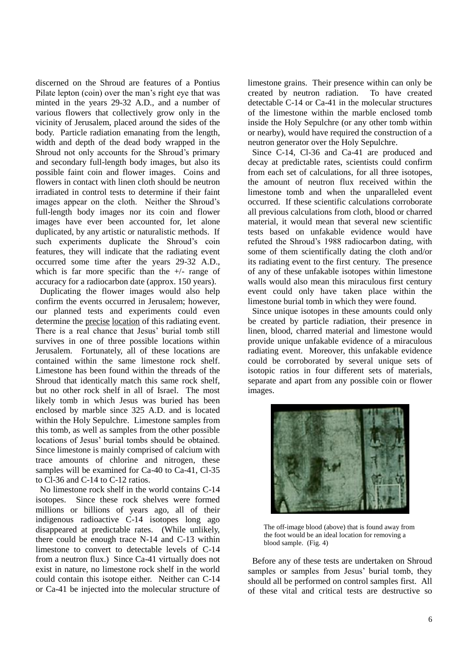discerned on the Shroud are features of a Pontius Pilate lepton (coin) over the man's right eye that was minted in the years 29-32 A.D., and a number of various flowers that collectively grow only in the vicinity of Jerusalem, placed around the sides of the body. Particle radiation emanating from the length, width and depth of the dead body wrapped in the Shroud not only accounts for the Shroud's primary and secondary full-length body images, but also its possible faint coin and flower images. Coins and flowers in contact with linen cloth should be neutron irradiated in control tests to determine if their faint images appear on the cloth. Neither the Shroud's full-length body images nor its coin and flower images have ever been accounted for, let alone duplicated, by any artistic or naturalistic methods. If such experiments duplicate the Shroud's coin features, they will indicate that the radiating event occurred some time after the years 29-32 A.D., which is far more specific than the  $+/-$  range of accuracy for a radiocarbon date (approx. 150 years).

 Duplicating the flower images would also help confirm the events occurred in Jerusalem; however, our planned tests and experiments could even determine the precise location of this radiating event. There is a real chance that Jesus' burial tomb still survives in one of three possible locations within Jerusalem. Fortunately, all of these locations are contained within the same limestone rock shelf. Limestone has been found within the threads of the Shroud that identically match this same rock shelf, but no other rock shelf in all of Israel. The most likely tomb in which Jesus was buried has been enclosed by marble since 325 A.D. and is located within the Holy Sepulchre. Limestone samples from this tomb, as well as samples from the other possible locations of Jesus' burial tombs should be obtained. Since limestone is mainly comprised of calcium with trace amounts of chlorine and nitrogen, these samples will be examined for Ca-40 to Ca-41, Cl-35 to Cl-36 and C-14 to C-12 ratios.

 No limestone rock shelf in the world contains C-14 isotopes. Since these rock shelves were formed millions or billions of years ago, all of their indigenous radioactive C-14 isotopes long ago disappeared at predictable rates. (While unlikely, there could be enough trace N-14 and C-13 within limestone to convert to detectable levels of C-14 from a neutron flux.) Since Ca-41 virtually does not exist in nature, no limestone rock shelf in the world could contain this isotope either. Neither can C-14 or Ca-41 be injected into the molecular structure of

limestone grains. Their presence within can only be created by neutron radiation. To have created detectable C-14 or Ca-41 in the molecular structures of the limestone within the marble enclosed tomb inside the Holy Sepulchre (or any other tomb within or nearby), would have required the construction of a neutron generator over the Holy Sepulchre.

 Since C-14, Cl-36 and Ca-41 are produced and decay at predictable rates, scientists could confirm from each set of calculations, for all three isotopes, the amount of neutron flux received within the limestone tomb and when the unparalleled event occurred. If these scientific calculations corroborate all previous calculations from cloth, blood or charred material, it would mean that several new scientific tests based on unfakable evidence would have refuted the Shroud's 1988 radiocarbon dating, with some of them scientifically dating the cloth and/or its radiating event to the first century. The presence of any of these unfakable isotopes within limestone walls would also mean this miraculous first century event could only have taken place within the limestone burial tomb in which they were found.

 Since unique isotopes in these amounts could only be created by particle radiation, their presence in linen, blood, charred material and limestone would provide unique unfakable evidence of a miraculous radiating event. Moreover, this unfakable evidence could be corroborated by several unique sets of isotopic ratios in four different sets of materials, separate and apart from any possible coin or flower images.



 The off-image blood (above) that is found away from the foot would be an ideal location for removing a blood sample. (Fig. 4)

 Before any of these tests are undertaken on Shroud samples or samples from Jesus' burial tomb, they should all be performed on control samples first. All of these vital and critical tests are destructive so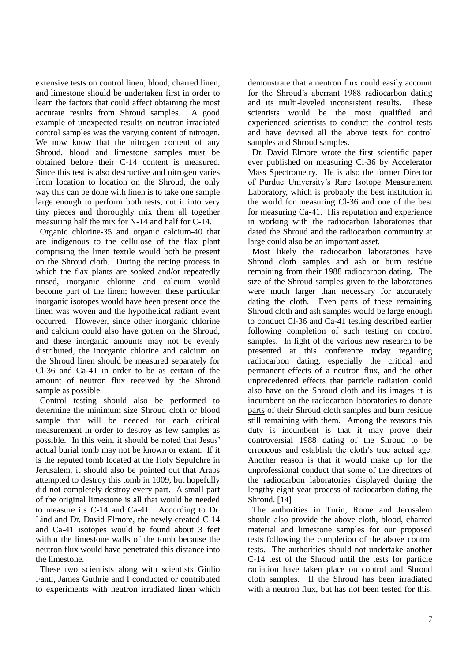extensive tests on control linen, blood, charred linen, and limestone should be undertaken first in order to learn the factors that could affect obtaining the most accurate results from Shroud samples. A good example of unexpected results on neutron irradiated control samples was the varying content of nitrogen. We now know that the nitrogen content of any Shroud, blood and limestone samples must be obtained before their C-14 content is measured. Since this test is also destructive and nitrogen varies from location to location on the Shroud, the only way this can be done with linen is to take one sample large enough to perform both tests, cut it into very tiny pieces and thoroughly mix them all together measuring half the mix for N-14 and half for C-14.

 Organic chlorine-35 and organic calcium-40 that are indigenous to the cellulose of the flax plant comprising the linen textile would both be present on the Shroud cloth. During the retting process in which the flax plants are soaked and/or repeatedly rinsed, inorganic chlorine and calcium would become part of the linen; however, these particular inorganic isotopes would have been present once the linen was woven and the hypothetical radiant event occurred. However, since other inorganic chlorine and calcium could also have gotten on the Shroud, and these inorganic amounts may not be evenly distributed, the inorganic chlorine and calcium on the Shroud linen should be measured separately for Cl-36 and Ca-41 in order to be as certain of the amount of neutron flux received by the Shroud sample as possible.

 Control testing should also be performed to determine the minimum size Shroud cloth or blood sample that will be needed for each critical measurement in order to destroy as few samples as possible. In this vein, it should be noted that Jesus' actual burial tomb may not be known or extant. If it is the reputed tomb located at the Holy Sepulchre in Jerusalem, it should also be pointed out that Arabs attempted to destroy this tomb in 1009, but hopefully did not completely destroy every part. A small part of the original limestone is all that would be needed to measure its C-14 and Ca-41. According to Dr. Lind and Dr. David Elmore, the newly-created C-14 and Ca-41 isotopes would be found about 3 feet within the limestone walls of the tomb because the neutron flux would have penetrated this distance into the limestone.

 These two scientists along with scientists Giulio Fanti, James Guthrie and I conducted or contributed to experiments with neutron irradiated linen which demonstrate that a neutron flux could easily account for the Shroud's aberrant 1988 radiocarbon dating and its multi-leveled inconsistent results. These scientists would be the most qualified and experienced scientists to conduct the control tests and have devised all the above tests for control samples and Shroud samples.

 Dr. David Elmore wrote the first scientific paper ever published on measuring Cl-36 by Accelerator Mass Spectrometry. He is also the former Director of Purdue University's Rare Isotope Measurement Laboratory, which is probably the best institution in the world for measuring Cl-36 and one of the best for measuring Ca-41. His reputation and experience in working with the radiocarbon laboratories that dated the Shroud and the radiocarbon community at large could also be an important asset.

 Most likely the radiocarbon laboratories have Shroud cloth samples and ash or burn residue remaining from their 1988 radiocarbon dating. The size of the Shroud samples given to the laboratories were much larger than necessary for accurately dating the cloth. Even parts of these remaining Shroud cloth and ash samples would be large enough to conduct Cl-36 and Ca-41 testing described earlier following completion of such testing on control samples. In light of the various new research to be presented at this conference today regarding radiocarbon dating, especially the critical and permanent effects of a neutron flux, and the other unprecedented effects that particle radiation could also have on the Shroud cloth and its images it is incumbent on the radiocarbon laboratories to donate parts of their Shroud cloth samples and burn residue still remaining with them. Among the reasons this duty is incumbent is that it may prove their controversial 1988 dating of the Shroud to be erroneous and establish the cloth's true actual age. Another reason is that it would make up for the unprofessional conduct that some of the directors of the radiocarbon laboratories displayed during the lengthy eight year process of radiocarbon dating the Shroud. [14]

 The authorities in Turin, Rome and Jerusalem should also provide the above cloth, blood, charred material and limestone samples for our proposed tests following the completion of the above control tests. The authorities should not undertake another C-14 test of the Shroud until the tests for particle radiation have taken place on control and Shroud cloth samples. If the Shroud has been irradiated with a neutron flux, but has not been tested for this,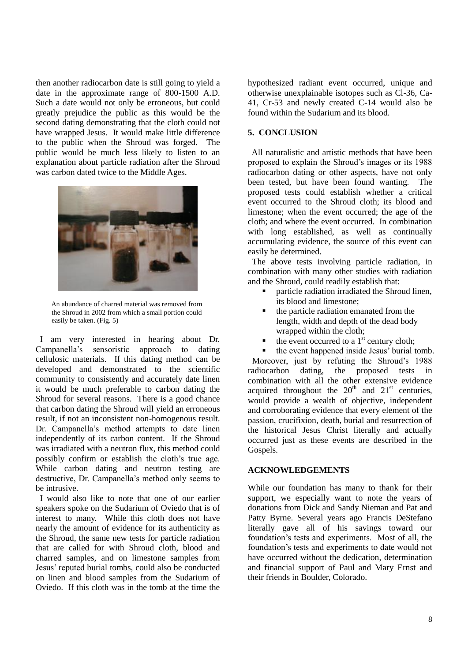then another radiocarbon date is still going to yield a date in the approximate range of 800-1500 A.D. Such a date would not only be erroneous, but could greatly prejudice the public as this would be the second dating demonstrating that the cloth could not have wrapped Jesus. It would make little difference to the public when the Shroud was forged. The public would be much less likely to listen to an explanation about particle radiation after the Shroud was carbon dated twice to the Middle Ages.



 An abundance of charred material was removed from the Shroud in 2002 from which a small portion could easily be taken. (Fig. 5)

 I am very interested in hearing about Dr. Campanella's sensoristic approach to dating cellulosic materials. If this dating method can be developed and demonstrated to the scientific community to consistently and accurately date linen it would be much preferable to carbon dating the Shroud for several reasons. There is a good chance that carbon dating the Shroud will yield an erroneous result, if not an inconsistent non-homogenous result. Dr. Campanella's method attempts to date linen independently of its carbon content. If the Shroud was irradiated with a neutron flux, this method could possibly confirm or establish the cloth's true age. While carbon dating and neutron testing are destructive, Dr. Campanella's method only seems to be intrusive.

 I would also like to note that one of our earlier speakers spoke on the Sudarium of Oviedo that is of interest to many. While this cloth does not have nearly the amount of evidence for its authenticity as the Shroud, the same new tests for particle radiation that are called for with Shroud cloth, blood and charred samples, and on limestone samples from Jesus' reputed burial tombs, could also be conducted on linen and blood samples from the Sudarium of Oviedo. If this cloth was in the tomb at the time the

hypothesized radiant event occurred, unique and otherwise unexplainable isotopes such as Cl-36, Ca-41, Cr-53 and newly created C-14 would also be found within the Sudarium and its blood.

# **5. CONCLUSION**

 All naturalistic and artistic methods that have been proposed to explain the Shroud's images or its 1988 radiocarbon dating or other aspects, have not only been tested, but have been found wanting. The proposed tests could establish whether a critical event occurred to the Shroud cloth; its blood and limestone; when the event occurred; the age of the cloth; and where the event occurred. In combination with long established, as well as continually accumulating evidence, the source of this event can easily be determined.

 The above tests involving particle radiation, in combination with many other studies with radiation and the Shroud, could readily establish that:

- particle radiation irradiated the Shroud linen, its blood and limestone;
- the particle radiation emanated from the length, width and depth of the dead body wrapped within the cloth;
- the event occurred to a  $1<sup>st</sup>$  century cloth;
- the event happened inside Jesus' burial tomb.

 Moreover, just by refuting the Shroud's 1988 radiocarbon dating, the proposed tests in combination with all the other extensive evidence acquired throughout the  $20<sup>th</sup>$  and  $21<sup>st</sup>$  centuries, would provide a wealth of objective, independent and corroborating evidence that every element of the passion, crucifixion, death, burial and resurrection of the historical Jesus Christ literally and actually occurred just as these events are described in the Gospels.

#### **ACKNOWLEDGEMENTS**

While our foundation has many to thank for their support, we especially want to note the years of donations from Dick and Sandy Nieman and Pat and Patty Byrne. Several years ago Francis DeStefano literally gave all of his savings toward our foundation's tests and experiments. Most of all, the foundation's tests and experiments to date would not have occurred without the dedication, determination and financial support of Paul and Mary Ernst and their friends in Boulder, Colorado.